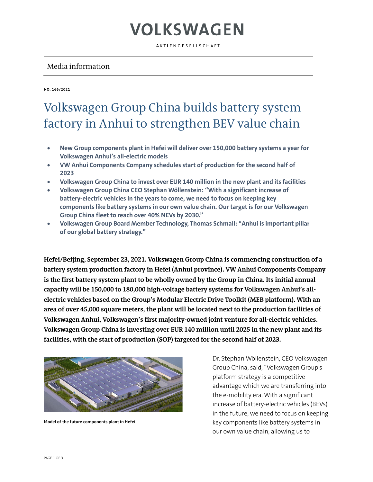AKTIENGESELLSCHAFT

#### Media information

**NO. 166/2021**

#### Volkswagen Group China builds battery system factory in Anhui to strengthen BEV value chain

- **New Group components plant in Hefei will deliver over 150,000 battery systems a year for Volkswagen Anhui's all-electric models**
- **VW Anhui Components Company schedules start of production for the second half of 2023**
- **Volkswagen Group China to invest over EUR 140 million in the new plant and its facilities**
- **Volkswagen Group China CEO Stephan Wöllenstein: "With a significant increase of battery-electric vehicles in the years to come, we need to focus on keeping key components like battery systems in our own value chain. Our target is for our Volkswagen Group China fleet to reach over 40% NEVs by 2030."**
- **Volkswagen Group Board Member Technology, Thomas Schmall: "Anhui is important pillar of our global battery strategy."**

**Hefei/Beijing, September 23, 2021. Volkswagen Group China is commencing construction of a battery system production factory in Hefei (Anhui province). VW Anhui Components Company is the first battery system plant to be wholly owned by the Group in China. Its initial annual capacity will be 150,000 to 180,000 high-voltage battery systems for Volkswagen Anhui's allelectric vehicles based on the Group's Modular Electric Drive Toolkit (MEB platform). With an area of over 45,000 square meters, the plant will be located next to the production facilities of Volkswagen Anhui, Volkswagen's first majority-owned joint venture for all-electric vehicles. Volkswagen Group China is investing over EUR 140 million until 2025 in the new plant and its facilities, with the start of production (SOP) targeted for the second half of 2023.**



**Model of the future components plant in Hefei**

Dr. Stephan Wöllenstein, CEO Volkswagen Group China, said, "Volkswagen Group's platform strategy is a competitive advantage which we are transferring into the e-mobility era. With a significant increase of battery-electric vehicles (BEVs) in the future, we need to focus on keeping key components like battery systems in our own value chain, allowing us to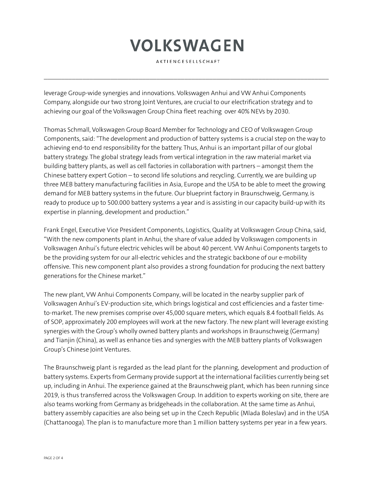AKTIENGESELLSCHAFT

 $\mathcal{L}_\mathcal{L} = \{ \mathcal{L}_\mathcal{L} = \{ \mathcal{L}_\mathcal{L} = \{ \mathcal{L}_\mathcal{L} = \{ \mathcal{L}_\mathcal{L} = \{ \mathcal{L}_\mathcal{L} = \{ \mathcal{L}_\mathcal{L} = \{ \mathcal{L}_\mathcal{L} = \{ \mathcal{L}_\mathcal{L} = \{ \mathcal{L}_\mathcal{L} = \{ \mathcal{L}_\mathcal{L} = \{ \mathcal{L}_\mathcal{L} = \{ \mathcal{L}_\mathcal{L} = \{ \mathcal{L}_\mathcal{L} = \{ \mathcal{L}_\mathcal{$ 

leverage Group-wide synergies and innovations. Volkswagen Anhui and VW Anhui Components Company, alongside our two strong Joint Ventures, are crucial to our electrification strategy and to achieving our goal of the Volkswagen Group China fleet reaching over 40% NEVs by 2030.

Thomas Schmall, Volkswagen Group Board Member for Technology and CEO of Volkswagen Group Components, said: "The development and production of battery systems is a crucial step on the way to achieving end-to end responsibility for the battery. Thus, Anhui is an important pillar of our global battery strategy. The global strategy leads from vertical integration in the raw material market via building battery plants, as well as cell factories in collaboration with partners – amongst them the Chinese battery expert Gotion – to second life solutions and recycling. Currently, we are building up three MEB battery manufacturing facilities in Asia, Europe and the USA to be able to meet the growing demand for MEB battery systems in the future. Our blueprint factory in Braunschweig, Germany, is ready to produce up to 500.000 battery systems a year and is assisting in our capacity build-up with its expertise in planning, development and production."

Frank Engel, Executive Vice President Components, Logistics, Quality at Volkswagen Group China, said, "With the new components plant in Anhui, the share of value added by Volkswagen components in Volkswagen Anhui's future electric vehicles will be about 40 percent. VW Anhui Components targets to be the providing system for our all-electric vehicles and the strategic backbone of our e-mobility offensive. This new component plant also provides a strong foundation for producing the next battery generations for the Chinese market."

The new plant, VW Anhui Components Company, will be located in the nearby supplier park of Volkswagen Anhui's EV-production site, which brings logistical and cost efficiencies and a faster timeto-market. The new premises comprise over 45,000 square meters, which equals 8.4 football fields. As of SOP, approximately 200 employees will work at the new factory. The new plant will leverage existing synergies with the Group's wholly owned battery plants and workshops in Braunschweig (Germany) and Tianjin (China), as well as enhance ties and synergies with the MEB battery plants of Volkswagen Group's Chinese Joint Ventures.

The Braunschweig plant is regarded as the lead plant for the planning, development and production of battery systems. Experts from Germany provide support at the international facilities currently being set up, including in Anhui. The experience gained at the Braunschweig plant, which has been running since 2019, is thus transferred across the Volkswagen Group. In addition to experts working on site, there are also teams working from Germany as bridgeheads in the collaboration. At the same time as Anhui, battery assembly capacities are also being set up in the Czech Republic (Mlada Boleslav) and in the USA (Chattanooga). The plan is to manufacture more than 1 million battery systems per year in a few years.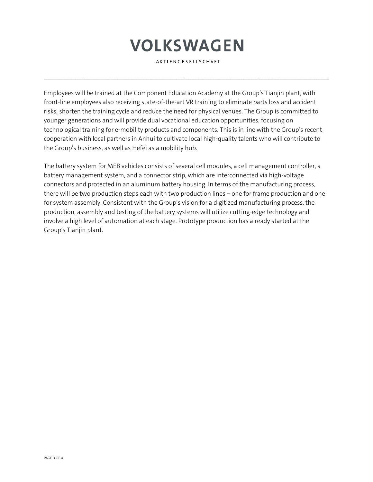AKTIENGESELLSCHAFT

 $\mathcal{L}_\mathcal{L} = \{ \mathcal{L}_\mathcal{L} = \{ \mathcal{L}_\mathcal{L} = \{ \mathcal{L}_\mathcal{L} = \{ \mathcal{L}_\mathcal{L} = \{ \mathcal{L}_\mathcal{L} = \{ \mathcal{L}_\mathcal{L} = \{ \mathcal{L}_\mathcal{L} = \{ \mathcal{L}_\mathcal{L} = \{ \mathcal{L}_\mathcal{L} = \{ \mathcal{L}_\mathcal{L} = \{ \mathcal{L}_\mathcal{L} = \{ \mathcal{L}_\mathcal{L} = \{ \mathcal{L}_\mathcal{L} = \{ \mathcal{L}_\mathcal{$ 

Employees will be trained at the Component Education Academy at the Group's Tianjin plant, with front-line employees also receiving state-of-the-art VR training to eliminate parts loss and accident risks, shorten the training cycle and reduce the need for physical venues. The Group is committed to younger generations and will provide dual vocational education opportunities, focusing on technological training for e-mobility products and components. This is in line with the Group's recent cooperation with local partners in Anhui to cultivate local high-quality talents who will contribute to the Group's business, as well as Hefei as a mobility hub.

The battery system for MEB vehicles consists of several cell modules, a cell management controller, a battery management system, and a connector strip, which are interconnected via high-voltage connectors and protected in an aluminum battery housing. In terms of the manufacturing process, there will be two production steps each with two production lines – one for frame production and one for system assembly. Consistent with the Group's vision for a digitized manufacturing process, the production, assembly and testing of the battery systems will utilize cutting-edge technology and involve a high level of automation at each stage. Prototype production has already started at the Group's Tianjin plant.